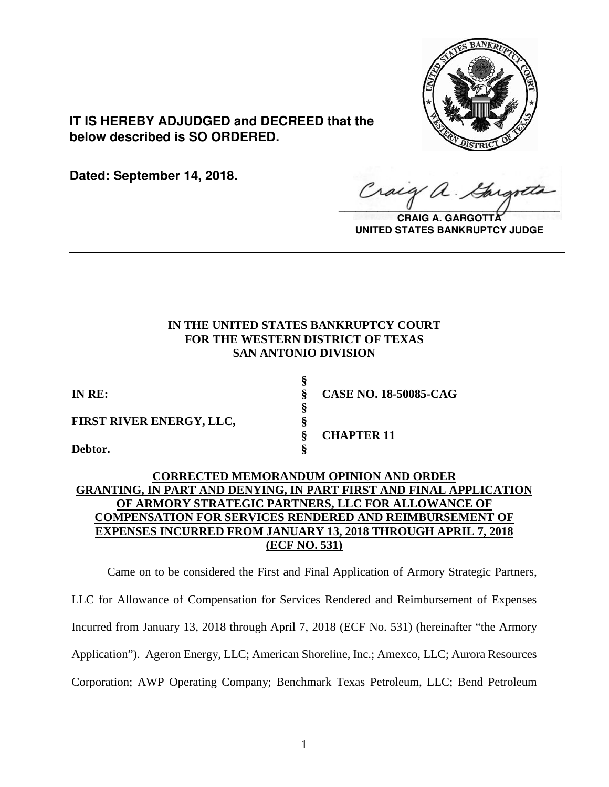

**IT IS HEREBY ADJUDGED and DECREED that the below described is SO ORDERED.**

**Dated: September 14, 2018.**

Craig a.

**CRAIG A. GARGOTT UNITED STATES BANKRUPTCY JUDGE**

## **IN THE UNITED STATES BANKRUPTCY COURT FOR THE WESTERN DISTRICT OF TEXAS SAN ANTONIO DIVISION**

**\_\_\_\_\_\_\_\_\_\_\_\_\_\_\_\_\_\_\_\_\_\_\_\_\_\_\_\_\_\_\_\_\_\_\_\_\_\_\_\_\_\_\_\_\_\_\_\_\_\_\_\_\_\_\_\_\_\_\_\_\_\_\_\_**

**§** 

**§** 

**FIRST RIVER ENERGY, LLC, §** 

**Debtor. §** 

**IN RE: § CASE NO. 18-50085-CAG**

**§ CHAPTER 11** 

# **CORRECTED MEMORANDUM OPINION AND ORDER GRANTING, IN PART AND DENYING, IN PART FIRST AND FINAL APPLICATION OF ARMORY STRATEGIC PARTNERS, LLC FOR ALLOWANCE OF COMPENSATION FOR SERVICES RENDERED AND REIMBURSEMENT OF EXPENSES INCURRED FROM JANUARY 13, 2018 THROUGH APRIL 7, 2018 (ECF NO. 531)**

Came on to be considered the First and Final Application of Armory Strategic Partners, LLC for Allowance of Compensation for Services Rendered and Reimbursement of Expenses Incurred from January 13, 2018 through April 7, 2018 (ECF No. 531) (hereinafter "the Armory Application"). Ageron Energy, LLC; American Shoreline, Inc.; Amexco, LLC; Aurora Resources Corporation; AWP Operating Company; Benchmark Texas Petroleum, LLC; Bend Petroleum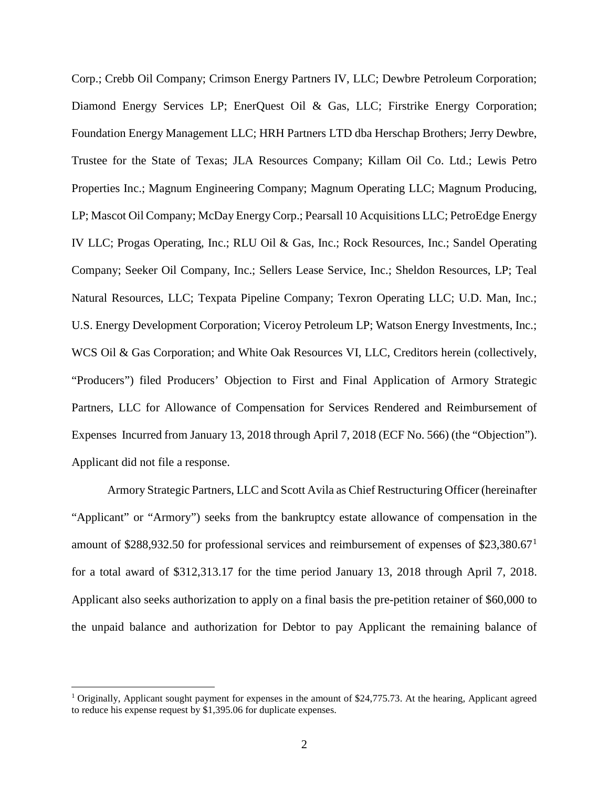Corp.; Crebb Oil Company; Crimson Energy Partners IV, LLC; Dewbre Petroleum Corporation; Diamond Energy Services LP; EnerQuest Oil & Gas, LLC; Firstrike Energy Corporation; Foundation Energy Management LLC; HRH Partners LTD dba Herschap Brothers; Jerry Dewbre, Trustee for the State of Texas; JLA Resources Company; Killam Oil Co. Ltd.; Lewis Petro Properties Inc.; Magnum Engineering Company; Magnum Operating LLC; Magnum Producing, LP; Mascot Oil Company; McDay Energy Corp.; Pearsall 10 Acquisitions LLC; PetroEdge Energy IV LLC; Progas Operating, Inc.; RLU Oil & Gas, Inc.; Rock Resources, Inc.; Sandel Operating Company; Seeker Oil Company, Inc.; Sellers Lease Service, Inc.; Sheldon Resources, LP; Teal Natural Resources, LLC; Texpata Pipeline Company; Texron Operating LLC; U.D. Man, Inc.; U.S. Energy Development Corporation; Viceroy Petroleum LP; Watson Energy Investments, Inc.; WCS Oil & Gas Corporation; and White Oak Resources VI, LLC, Creditors herein (collectively, "Producers") filed Producers' Objection to First and Final Application of Armory Strategic Partners, LLC for Allowance of Compensation for Services Rendered and Reimbursement of Expenses Incurred from January 13, 2018 through April 7, 2018 (ECF No. 566) (the "Objection"). Applicant did not file a response.

Armory Strategic Partners, LLC and Scott Avila as Chief Restructuring Officer (hereinafter "Applicant" or "Armory") seeks from the bankruptcy estate allowance of compensation in the amount of \$288,932.50 for professional services and reimbursement of expenses of \$23,380.67[1](#page-1-0) for a total award of \$312,313.17 for the time period January 13, 2018 through April 7, 2018. Applicant also seeks authorization to apply on a final basis the pre-petition retainer of \$60,000 to the unpaid balance and authorization for Debtor to pay Applicant the remaining balance of

<span id="page-1-0"></span><sup>&</sup>lt;sup>1</sup> Originally, Applicant sought payment for expenses in the amount of \$24,775.73. At the hearing, Applicant agreed to reduce his expense request by \$1,395.06 for duplicate expenses.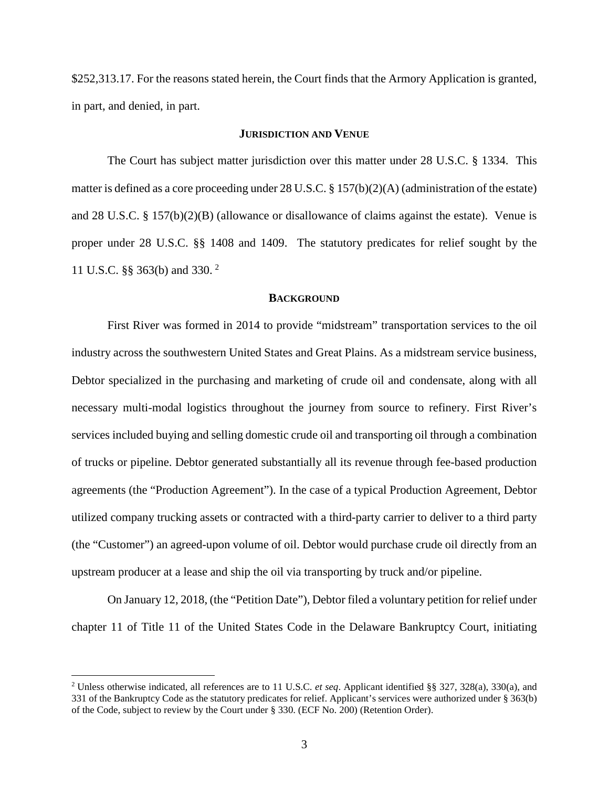\$252,313.17. For the reasons stated herein, the Court finds that the Armory Application is granted, in part, and denied, in part.

#### **JURISDICTION AND VENUE**

The Court has subject matter jurisdiction over this matter under 28 U.S.C. § 1334. This matter is defined as a core proceeding under 28 U.S.C. § 157(b)(2)(A) (administration of the estate) and 28 U.S.C. § 157(b)(2)(B) (allowance or disallowance of claims against the estate). Venue is proper under 28 U.S.C. §§ 1408 and 1409. The statutory predicates for relief sought by the 11 U.S.C. §§ 363(b) and 330. [2](#page-2-0)

### **BACKGROUND**

First River was formed in 2014 to provide "midstream" transportation services to the oil industry across the southwestern United States and Great Plains. As a midstream service business, Debtor specialized in the purchasing and marketing of crude oil and condensate, along with all necessary multi-modal logistics throughout the journey from source to refinery. First River's services included buying and selling domestic crude oil and transporting oil through a combination of trucks or pipeline. Debtor generated substantially all its revenue through fee-based production agreements (the "Production Agreement"). In the case of a typical Production Agreement, Debtor utilized company trucking assets or contracted with a third-party carrier to deliver to a third party (the "Customer") an agreed-upon volume of oil. Debtor would purchase crude oil directly from an upstream producer at a lease and ship the oil via transporting by truck and/or pipeline.

On January 12, 2018, (the "Petition Date"), Debtor filed a voluntary petition for relief under chapter 11 of Title 11 of the United States Code in the Delaware Bankruptcy Court, initiating

<span id="page-2-0"></span> <sup>2</sup> Unless otherwise indicated, all references are to <sup>11</sup> U.S.C. *et seq*. Applicant identified §§ 327, 328(a), 330(a), and 331 of the Bankruptcy Code as the statutory predicates for relief. Applicant's services were authorized under § 363(b) of the Code, subject to review by the Court under § 330. (ECF No. 200) (Retention Order).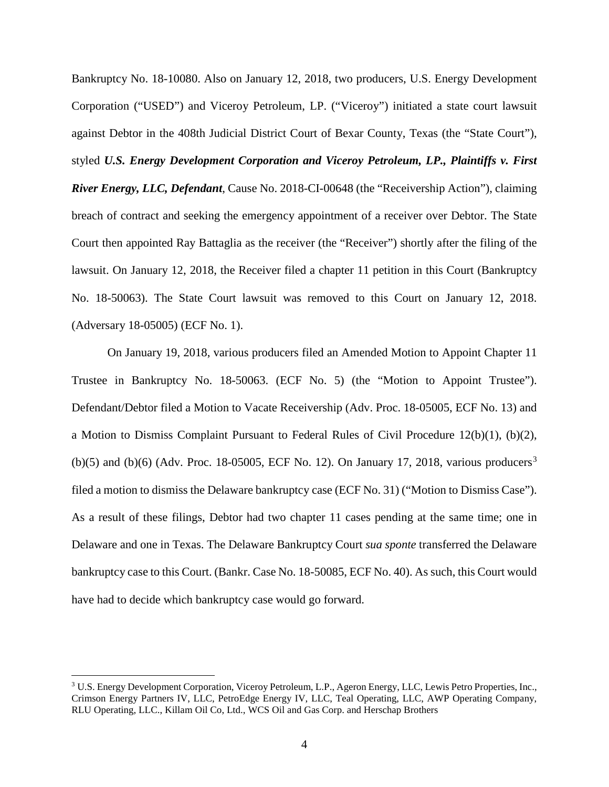Bankruptcy No. 18-10080. Also on January 12, 2018, two producers, U.S. Energy Development Corporation ("USED") and Viceroy Petroleum, LP. ("Viceroy") initiated a state court lawsuit against Debtor in the 408th Judicial District Court of Bexar County, Texas (the "State Court"), styled *U.S. Energy Development Corporation and Viceroy Petroleum, LP., Plaintiffs v. First River Energy, LLC, Defendant*, Cause No. 2018-CI-00648 (the "Receivership Action"), claiming breach of contract and seeking the emergency appointment of a receiver over Debtor. The State Court then appointed Ray Battaglia as the receiver (the "Receiver") shortly after the filing of the lawsuit. On January 12, 2018, the Receiver filed a chapter 11 petition in this Court (Bankruptcy No. 18-50063). The State Court lawsuit was removed to this Court on January 12, 2018. (Adversary 18-05005) (ECF No. 1).

On January 19, 2018, various producers filed an Amended Motion to Appoint Chapter 11 Trustee in Bankruptcy No. 18-50063. (ECF No. 5) (the "Motion to Appoint Trustee"). Defendant/Debtor filed a Motion to Vacate Receivership (Adv. Proc. 18-05005, ECF No. 13) and a Motion to Dismiss Complaint Pursuant to Federal Rules of Civil Procedure 12(b)(1), (b)(2), (b)(5) and (b)(6) (Adv. Proc. 18-05005, ECF No. 12). On January 17, 2018, various producers<sup>[3](#page-3-0)</sup> filed a motion to dismiss the Delaware bankruptcy case (ECF No. 31) ("Motion to Dismiss Case"). As a result of these filings, Debtor had two chapter 11 cases pending at the same time; one in Delaware and one in Texas. The Delaware Bankruptcy Court *sua sponte* transferred the Delaware bankruptcy case to this Court. (Bankr. Case No. 18-50085, ECF No. 40). As such, this Court would have had to decide which bankruptcy case would go forward.

<span id="page-3-0"></span> <sup>3</sup> U.S. Energy Development Corporation, Viceroy Petroleum, L.P., Ageron Energy, LLC, Lewis Petro Properties, Inc., Crimson Energy Partners IV, LLC, PetroEdge Energy IV, LLC, Teal Operating, LLC, AWP Operating Company, RLU Operating, LLC., Killam Oil Co, Ltd., WCS Oil and Gas Corp. and Herschap Brothers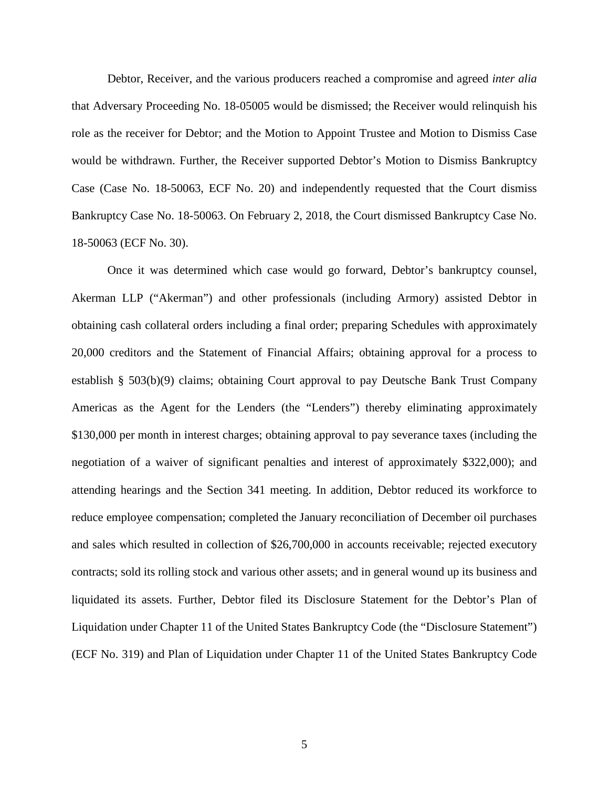Debtor, Receiver, and the various producers reached a compromise and agreed *inter alia* that Adversary Proceeding No. 18-05005 would be dismissed; the Receiver would relinquish his role as the receiver for Debtor; and the Motion to Appoint Trustee and Motion to Dismiss Case would be withdrawn. Further, the Receiver supported Debtor's Motion to Dismiss Bankruptcy Case (Case No. 18-50063, ECF No. 20) and independently requested that the Court dismiss Bankruptcy Case No. 18-50063. On February 2, 2018, the Court dismissed Bankruptcy Case No. 18-50063 (ECF No. 30).

Once it was determined which case would go forward, Debtor's bankruptcy counsel, Akerman LLP ("Akerman") and other professionals (including Armory) assisted Debtor in obtaining cash collateral orders including a final order; preparing Schedules with approximately 20,000 creditors and the Statement of Financial Affairs; obtaining approval for a process to establish § 503(b)(9) claims; obtaining Court approval to pay Deutsche Bank Trust Company Americas as the Agent for the Lenders (the "Lenders") thereby eliminating approximately \$130,000 per month in interest charges; obtaining approval to pay severance taxes (including the negotiation of a waiver of significant penalties and interest of approximately \$322,000); and attending hearings and the Section 341 meeting. In addition, Debtor reduced its workforce to reduce employee compensation; completed the January reconciliation of December oil purchases and sales which resulted in collection of \$26,700,000 in accounts receivable; rejected executory contracts; sold its rolling stock and various other assets; and in general wound up its business and liquidated its assets. Further, Debtor filed its Disclosure Statement for the Debtor's Plan of Liquidation under Chapter 11 of the United States Bankruptcy Code (the "Disclosure Statement") (ECF No. 319) and Plan of Liquidation under Chapter 11 of the United States Bankruptcy Code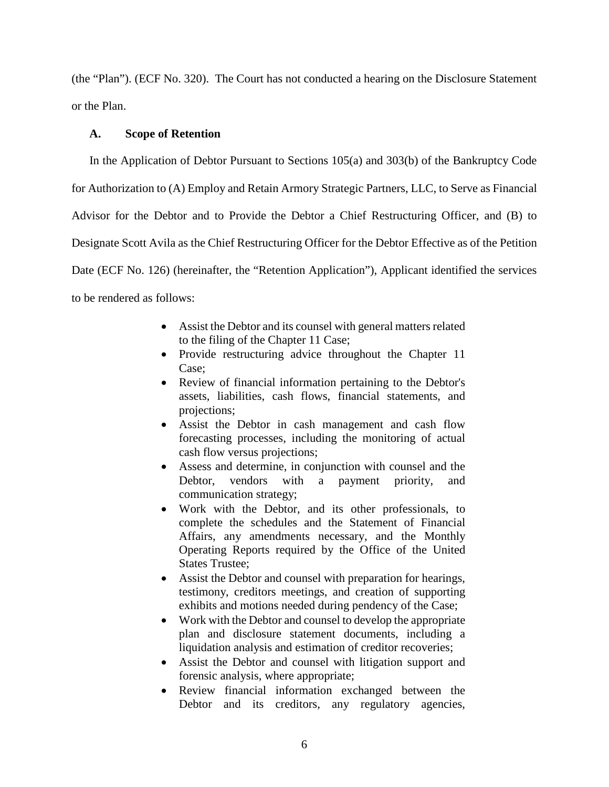(the "Plan"). (ECF No. 320). The Court has not conducted a hearing on the Disclosure Statement or the Plan.

## **A. Scope of Retention**

In the Application of Debtor Pursuant to Sections 105(a) and 303(b) of the Bankruptcy Code for Authorization to (A) Employ and Retain Armory Strategic Partners, LLC, to Serve as Financial Advisor for the Debtor and to Provide the Debtor a Chief Restructuring Officer, and (B) to Designate Scott Avila as the Chief Restructuring Officer for the Debtor Effective as of the Petition Date (ECF No. 126) (hereinafter, the "Retention Application"), Applicant identified the services to be rendered as follows:

- Assist the Debtor and its counsel with general matters related to the filing of the Chapter 11 Case;
- Provide restructuring advice throughout the Chapter 11 Case;
- Review of financial information pertaining to the Debtor's assets, liabilities, cash flows, financial statements, and projections;
- Assist the Debtor in cash management and cash flow forecasting processes, including the monitoring of actual cash flow versus projections;
- Assess and determine, in conjunction with counsel and the Debtor, vendors with a payment priority, and communication strategy;
- Work with the Debtor, and its other professionals, to complete the schedules and the Statement of Financial Affairs, any amendments necessary, and the Monthly Operating Reports required by the Office of the United States Trustee;
- Assist the Debtor and counsel with preparation for hearings, testimony, creditors meetings, and creation of supporting exhibits and motions needed during pendency of the Case;
- Work with the Debtor and counsel to develop the appropriate plan and disclosure statement documents, including a liquidation analysis and estimation of creditor recoveries;
- Assist the Debtor and counsel with litigation support and forensic analysis, where appropriate;
- Review financial information exchanged between the Debtor and its creditors, any regulatory agencies,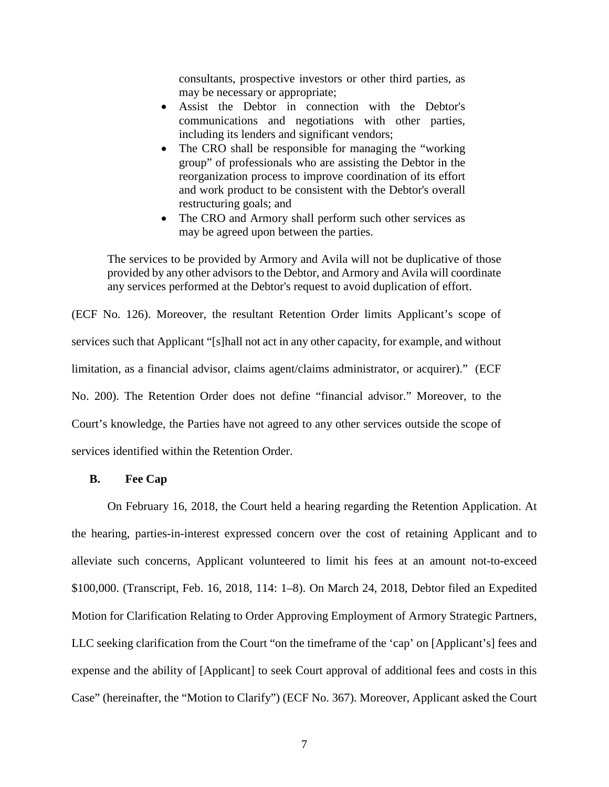consultants, prospective investors or other third parties, as may be necessary or appropriate;

- Assist the Debtor in connection with the Debtor's communications and negotiations with other parties, including its lenders and significant vendors;
- The CRO shall be responsible for managing the "working" group" of professionals who are assisting the Debtor in the reorganization process to improve coordination of its effort and work product to be consistent with the Debtor's overall restructuring goals; and
- The CRO and Armory shall perform such other services as may be agreed upon between the parties.

The services to be provided by Armory and Avila will not be duplicative of those provided by any other advisors to the Debtor, and Armory and Avila will coordinate any services performed at the Debtor's request to avoid duplication of effort.

(ECF No. 126). Moreover, the resultant Retention Order limits Applicant's scope of services such that Applicant "[s]hall not act in any other capacity, for example, and without limitation, as a financial advisor, claims agent/claims administrator, or acquirer)." (ECF No. 200). The Retention Order does not define "financial advisor." Moreover, to the Court's knowledge, the Parties have not agreed to any other services outside the scope of services identified within the Retention Order.

## **B. Fee Cap**

On February 16, 2018, the Court held a hearing regarding the Retention Application. At the hearing, parties-in-interest expressed concern over the cost of retaining Applicant and to alleviate such concerns, Applicant volunteered to limit his fees at an amount not-to-exceed \$100,000. (Transcript, Feb. 16, 2018, 114: 1–8). On March 24, 2018, Debtor filed an Expedited Motion for Clarification Relating to Order Approving Employment of Armory Strategic Partners, LLC seeking clarification from the Court "on the timeframe of the 'cap' on [Applicant's] fees and expense and the ability of [Applicant] to seek Court approval of additional fees and costs in this Case" (hereinafter, the "Motion to Clarify") (ECF No. 367). Moreover, Applicant asked the Court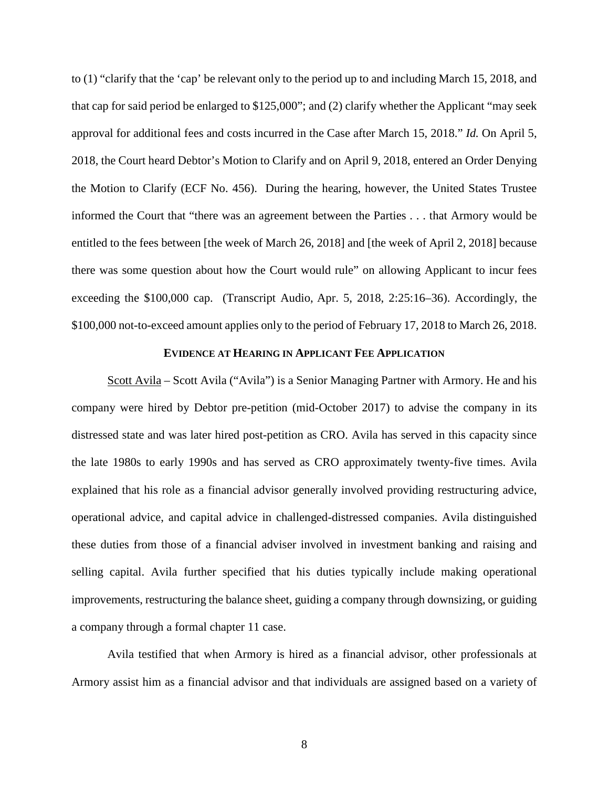to (1) "clarify that the 'cap' be relevant only to the period up to and including March 15, 2018, and that cap for said period be enlarged to \$125,000"; and (2) clarify whether the Applicant "may seek approval for additional fees and costs incurred in the Case after March 15, 2018." *Id.* On April 5, 2018, the Court heard Debtor's Motion to Clarify and on April 9, 2018, entered an Order Denying the Motion to Clarify (ECF No. 456). During the hearing, however, the United States Trustee informed the Court that "there was an agreement between the Parties . . . that Armory would be entitled to the fees between [the week of March 26, 2018] and [the week of April 2, 2018] because there was some question about how the Court would rule" on allowing Applicant to incur fees exceeding the \$100,000 cap. (Transcript Audio, Apr. 5, 2018, 2:25:16–36). Accordingly, the \$100,000 not-to-exceed amount applies only to the period of February 17, 2018 to March 26, 2018.

## **EVIDENCE AT HEARING IN APPLICANT FEE APPLICATION**

Scott Avila – Scott Avila ("Avila") is a Senior Managing Partner with Armory. He and his company were hired by Debtor pre-petition (mid-October 2017) to advise the company in its distressed state and was later hired post-petition as CRO. Avila has served in this capacity since the late 1980s to early 1990s and has served as CRO approximately twenty-five times. Avila explained that his role as a financial advisor generally involved providing restructuring advice, operational advice, and capital advice in challenged-distressed companies. Avila distinguished these duties from those of a financial adviser involved in investment banking and raising and selling capital. Avila further specified that his duties typically include making operational improvements, restructuring the balance sheet, guiding a company through downsizing, or guiding a company through a formal chapter 11 case.

Avila testified that when Armory is hired as a financial advisor, other professionals at Armory assist him as a financial advisor and that individuals are assigned based on a variety of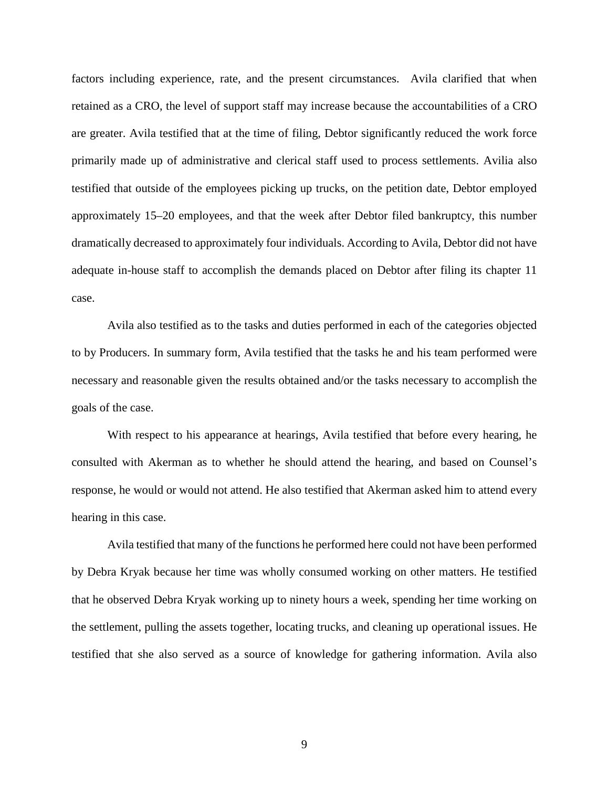factors including experience, rate, and the present circumstances. Avila clarified that when retained as a CRO, the level of support staff may increase because the accountabilities of a CRO are greater. Avila testified that at the time of filing, Debtor significantly reduced the work force primarily made up of administrative and clerical staff used to process settlements. Avilia also testified that outside of the employees picking up trucks, on the petition date, Debtor employed approximately 15–20 employees, and that the week after Debtor filed bankruptcy, this number dramatically decreased to approximately four individuals. According to Avila, Debtor did not have adequate in-house staff to accomplish the demands placed on Debtor after filing its chapter 11 case.

Avila also testified as to the tasks and duties performed in each of the categories objected to by Producers. In summary form, Avila testified that the tasks he and his team performed were necessary and reasonable given the results obtained and/or the tasks necessary to accomplish the goals of the case.

With respect to his appearance at hearings, Avila testified that before every hearing, he consulted with Akerman as to whether he should attend the hearing, and based on Counsel's response, he would or would not attend. He also testified that Akerman asked him to attend every hearing in this case.

Avila testified that many of the functions he performed here could not have been performed by Debra Kryak because her time was wholly consumed working on other matters. He testified that he observed Debra Kryak working up to ninety hours a week, spending her time working on the settlement, pulling the assets together, locating trucks, and cleaning up operational issues. He testified that she also served as a source of knowledge for gathering information. Avila also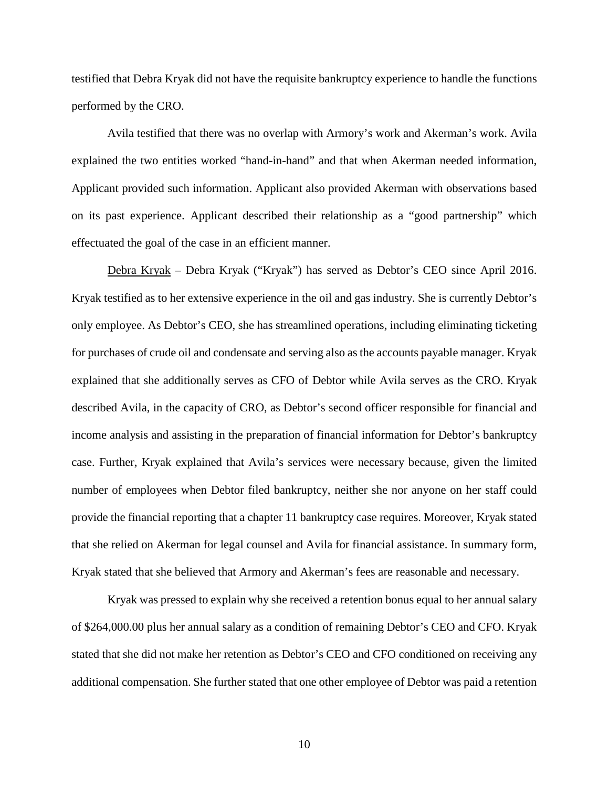testified that Debra Kryak did not have the requisite bankruptcy experience to handle the functions performed by the CRO.

Avila testified that there was no overlap with Armory's work and Akerman's work. Avila explained the two entities worked "hand-in-hand" and that when Akerman needed information, Applicant provided such information. Applicant also provided Akerman with observations based on its past experience. Applicant described their relationship as a "good partnership" which effectuated the goal of the case in an efficient manner.

Debra Kryak – Debra Kryak ("Kryak") has served as Debtor's CEO since April 2016. Kryak testified as to her extensive experience in the oil and gas industry. She is currently Debtor's only employee. As Debtor's CEO, she has streamlined operations, including eliminating ticketing for purchases of crude oil and condensate and serving also as the accounts payable manager. Kryak explained that she additionally serves as CFO of Debtor while Avila serves as the CRO. Kryak described Avila, in the capacity of CRO, as Debtor's second officer responsible for financial and income analysis and assisting in the preparation of financial information for Debtor's bankruptcy case. Further, Kryak explained that Avila's services were necessary because, given the limited number of employees when Debtor filed bankruptcy, neither she nor anyone on her staff could provide the financial reporting that a chapter 11 bankruptcy case requires. Moreover, Kryak stated that she relied on Akerman for legal counsel and Avila for financial assistance. In summary form, Kryak stated that she believed that Armory and Akerman's fees are reasonable and necessary.

Kryak was pressed to explain why she received a retention bonus equal to her annual salary of \$264,000.00 plus her annual salary as a condition of remaining Debtor's CEO and CFO. Kryak stated that she did not make her retention as Debtor's CEO and CFO conditioned on receiving any additional compensation. She further stated that one other employee of Debtor was paid a retention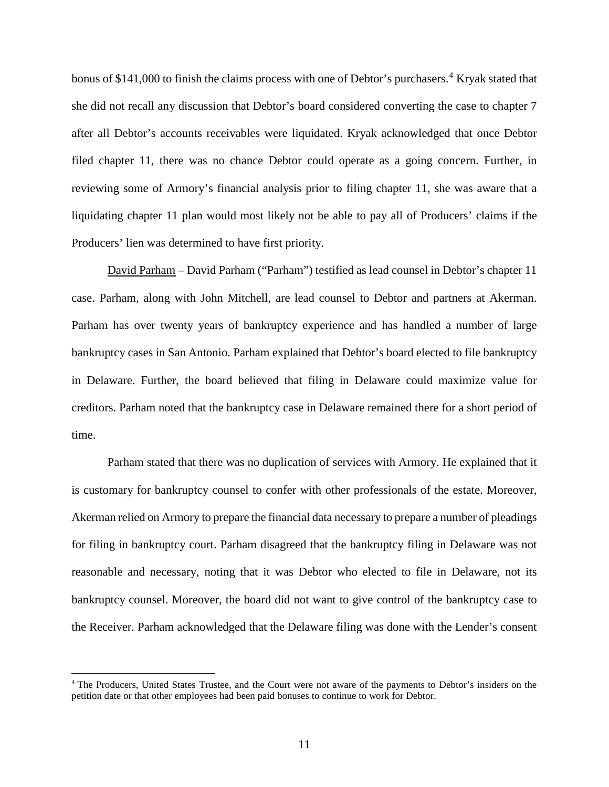bonus of \$1[4](#page-10-0)1,000 to finish the claims process with one of Debtor's purchasers.<sup>4</sup> Kryak stated that she did not recall any discussion that Debtor's board considered converting the case to chapter 7 after all Debtor's accounts receivables were liquidated. Kryak acknowledged that once Debtor filed chapter 11, there was no chance Debtor could operate as a going concern. Further, in reviewing some of Armory's financial analysis prior to filing chapter 11, she was aware that a liquidating chapter 11 plan would most likely not be able to pay all of Producers' claims if the Producers' lien was determined to have first priority.

David Parham – David Parham ("Parham") testified as lead counsel in Debtor's chapter 11 case. Parham, along with John Mitchell, are lead counsel to Debtor and partners at Akerman. Parham has over twenty years of bankruptcy experience and has handled a number of large bankruptcy cases in San Antonio. Parham explained that Debtor's board elected to file bankruptcy in Delaware. Further, the board believed that filing in Delaware could maximize value for creditors. Parham noted that the bankruptcy case in Delaware remained there for a short period of time.

Parham stated that there was no duplication of services with Armory. He explained that it is customary for bankruptcy counsel to confer with other professionals of the estate. Moreover, Akerman relied on Armory to prepare the financial data necessary to prepare a number of pleadings for filing in bankruptcy court. Parham disagreed that the bankruptcy filing in Delaware was not reasonable and necessary, noting that it was Debtor who elected to file in Delaware, not its bankruptcy counsel. Moreover, the board did not want to give control of the bankruptcy case to the Receiver. Parham acknowledged that the Delaware filing was done with the Lender's consent

<span id="page-10-0"></span><sup>&</sup>lt;sup>4</sup> The Producers, United States Trustee, and the Court were not aware of the payments to Debtor's insiders on the petition date or that other employees had been paid bonuses to continue to work for Debtor.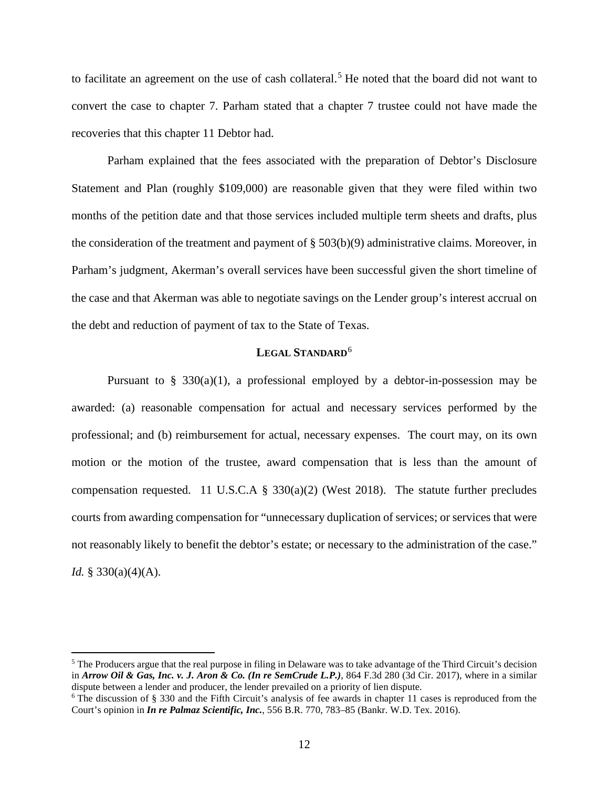to facilitate an agreement on the use of cash collateral.<sup>[5](#page-11-0)</sup> He noted that the board did not want to convert the case to chapter 7. Parham stated that a chapter 7 trustee could not have made the recoveries that this chapter 11 Debtor had.

Parham explained that the fees associated with the preparation of Debtor's Disclosure Statement and Plan (roughly \$109,000) are reasonable given that they were filed within two months of the petition date and that those services included multiple term sheets and drafts, plus the consideration of the treatment and payment of § 503(b)(9) administrative claims. Moreover, in Parham's judgment, Akerman's overall services have been successful given the short timeline of the case and that Akerman was able to negotiate savings on the Lender group's interest accrual on the debt and reduction of payment of tax to the State of Texas.

## **LEGAL STANDARD**[6](#page-11-1)

Pursuant to  $\S$  330(a)(1), a professional employed by a debtor-in-possession may be awarded: (a) reasonable compensation for actual and necessary services performed by the professional; and (b) reimbursement for actual, necessary expenses. The court may, on its own motion or the motion of the trustee, award compensation that is less than the amount of compensation requested. 11 U.S.C.A § 330(a)(2) (West 2018). The statute further precludes courts from awarding compensation for "unnecessary duplication of services; or services that were not reasonably likely to benefit the debtor's estate; or necessary to the administration of the case." *Id.* § 330(a)(4)(A).

<span id="page-11-0"></span> <sup>5</sup> The Producers argue that the real purpose in filing in Delaware was to take advantage of the Third Circuit's decision in *Arrow Oil & Gas, Inc. v. J. Aron & Co. (In re SemCrude L.P.)*, 864 F.3d 280 (3d Cir. 2017), where in a similar dispute between a lender and producer, the lender prevailed on a priority of lien dispute.

<span id="page-11-1"></span> $6$  The discussion of § 330 and the Fifth Circuit's analysis of fee awards in chapter 11 cases is reproduced from the Court's opinion in *In re Palmaz Scientific, Inc.*, 556 B.R. 770, 783–85 (Bankr. W.D. Tex. 2016).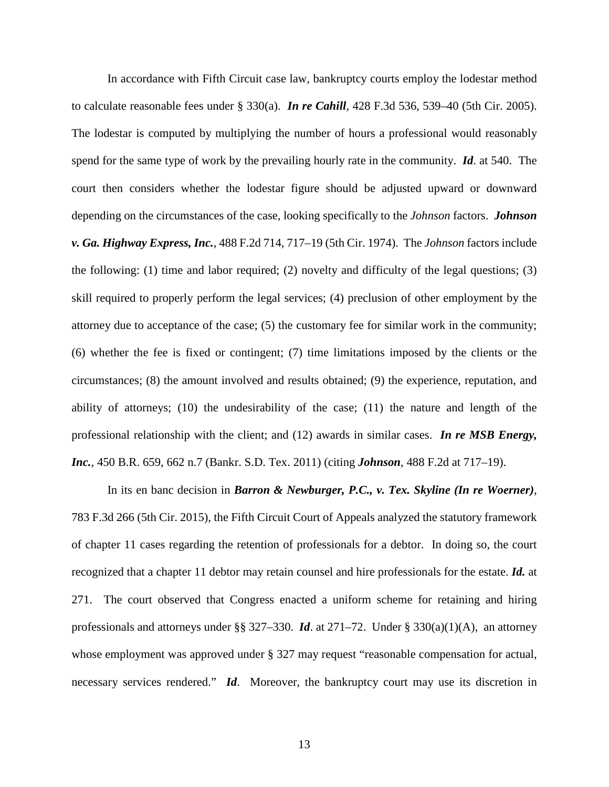In accordance with Fifth Circuit case law, bankruptcy courts employ the lodestar method to calculate reasonable fees under § 330(a). *In re Cahill*, 428 F.3d 536, 539–40 (5th Cir. 2005). The lodestar is computed by multiplying the number of hours a professional would reasonably spend for the same type of work by the prevailing hourly rate in the community. *Id*. at 540. The court then considers whether the lodestar figure should be adjusted upward or downward depending on the circumstances of the case, looking specifically to the *Johnson* factors. *Johnson v. Ga. Highway Express, Inc.*, 488 F.2d 714, 717–19 (5th Cir. 1974). The *Johnson* factors include the following: (1) time and labor required; (2) novelty and difficulty of the legal questions; (3) skill required to properly perform the legal services; (4) preclusion of other employment by the attorney due to acceptance of the case; (5) the customary fee for similar work in the community; (6) whether the fee is fixed or contingent; (7) time limitations imposed by the clients or the circumstances; (8) the amount involved and results obtained; (9) the experience, reputation, and ability of attorneys; (10) the undesirability of the case; (11) the nature and length of the professional relationship with the client; and (12) awards in similar cases. *In re MSB Energy, Inc.*, 450 B.R. 659, 662 n.7 (Bankr. S.D. Tex. 2011) (citing *Johnson*, 488 F.2d at 717–19).

In its en banc decision in *Barron & Newburger, P.C., v. Tex. Skyline (In re Woerner)*, 783 F.3d 266 (5th Cir. 2015), the Fifth Circuit Court of Appeals analyzed the statutory framework of chapter 11 cases regarding the retention of professionals for a debtor. In doing so, the court recognized that a chapter 11 debtor may retain counsel and hire professionals for the estate. *Id.* at 271. The court observed that Congress enacted a uniform scheme for retaining and hiring professionals and attorneys under §§ 327–330. *Id*. at 271–72. Under § 330(a)(1)(A), an attorney whose employment was approved under § 327 may request "reasonable compensation for actual, necessary services rendered." *Id*. Moreover, the bankruptcy court may use its discretion in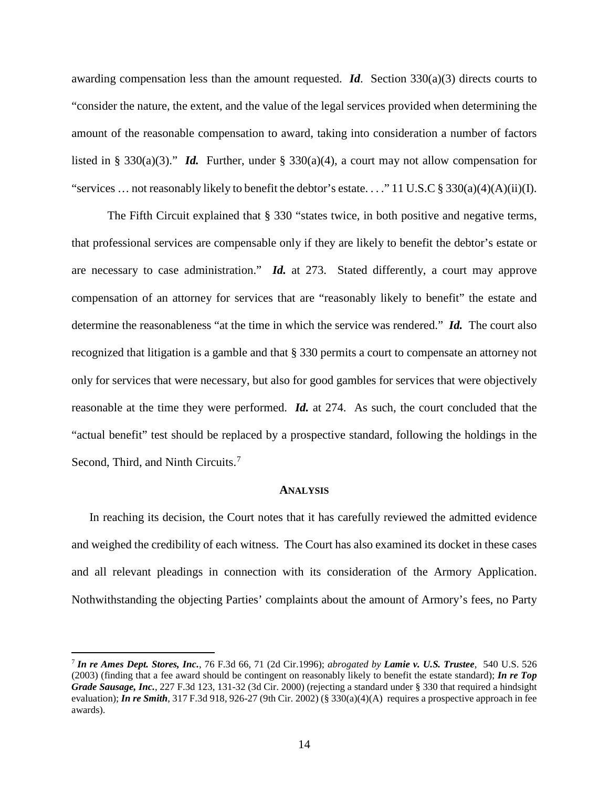awarding compensation less than the amount requested.  $\mathbf{Id}$ . Section 330(a)(3) directs courts to "consider the nature, the extent, and the value of the legal services provided when determining the amount of the reasonable compensation to award, taking into consideration a number of factors listed in § 330(a)(3)." *Id.* Further, under § 330(a)(4), a court may not allow compensation for "services ... not reasonably likely to benefit the debtor's estate...." 11 U.S.C § 330(a)(4)(A)(ii)(I).

The Fifth Circuit explained that § 330 "states twice, in both positive and negative terms, that professional services are compensable only if they are likely to benefit the debtor's estate or are necessary to case administration." *Id.* at 273.Stated differently, a court may approve compensation of an attorney for services that are "reasonably likely to benefit" the estate and determine the reasonableness "at the time in which the service was rendered." *Id.* The court also recognized that litigation is a gamble and that § 330 permits a court to compensate an attorney not only for services that were necessary, but also for good gambles for services that were objectively reasonable at the time they were performed. *Id.* at 274. As such, the court concluded that the "actual benefit" test should be replaced by a prospective standard, following the holdings in the Second, Third, and Ninth Circuits.<sup>[7](#page-13-0)</sup>

#### **ANALYSIS**

In reaching its decision, the Court notes that it has carefully reviewed the admitted evidence and weighed the credibility of each witness. The Court has also examined its docket in these cases and all relevant pleadings in connection with its consideration of the Armory Application. Nothwithstanding the objecting Parties' complaints about the amount of Armory's fees, no Party

<span id="page-13-0"></span> <sup>7</sup> *In re Ames Dept. Stores, Inc.*, <sup>76</sup> F.3d 66, <sup>71</sup> (2d Cir.1996); *abrogated by Lamie v. U.S. Trustee*, 540 U.S. <sup>526</sup> (2003) (finding that a fee award should be contingent on reasonably likely to benefit the estate standard); *In re Top Grade Sausage, Inc.*, 227 F.3d 123, 131-32 (3d Cir. 2000) (rejecting a standard under § 330 that required a hindsight evaluation); *In re Smith*, 317 F.3d 918, 926-27 (9th Cir. 2002) (§ 330(a)(4)(A) requires a prospective approach in fee awards).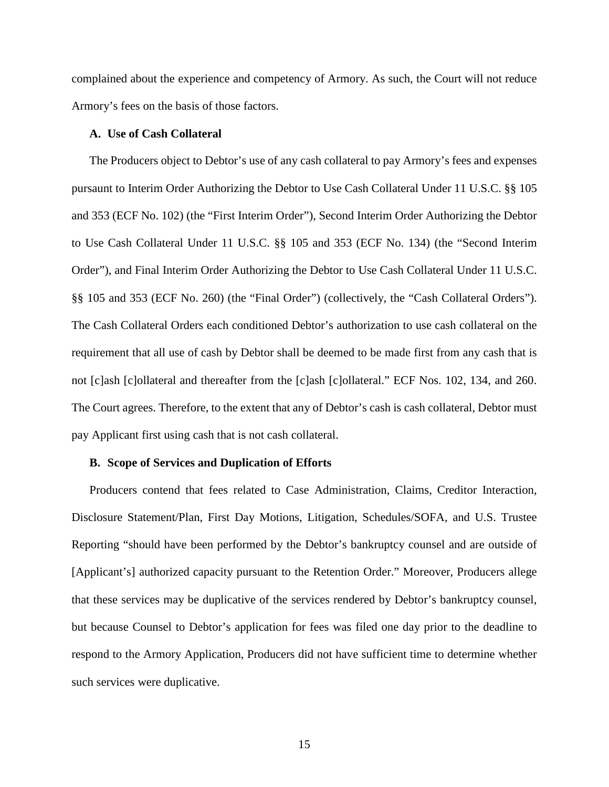complained about the experience and competency of Armory. As such, the Court will not reduce Armory's fees on the basis of those factors.

## **A. Use of Cash Collateral**

The Producers object to Debtor's use of any cash collateral to pay Armory's fees and expenses pursaunt to Interim Order Authorizing the Debtor to Use Cash Collateral Under 11 U.S.C. §§ 105 and 353 (ECF No. 102) (the "First Interim Order"), Second Interim Order Authorizing the Debtor to Use Cash Collateral Under 11 U.S.C. §§ 105 and 353 (ECF No. 134) (the "Second Interim Order"), and Final Interim Order Authorizing the Debtor to Use Cash Collateral Under 11 U.S.C. §§ 105 and 353 (ECF No. 260) (the "Final Order") (collectively, the "Cash Collateral Orders"). The Cash Collateral Orders each conditioned Debtor's authorization to use cash collateral on the requirement that all use of cash by Debtor shall be deemed to be made first from any cash that is not [c]ash [c]ollateral and thereafter from the [c]ash [c]ollateral." ECF Nos. 102, 134, and 260. The Court agrees. Therefore, to the extent that any of Debtor's cash is cash collateral, Debtor must pay Applicant first using cash that is not cash collateral.

## **B. Scope of Services and Duplication of Efforts**

Producers contend that fees related to Case Administration, Claims, Creditor Interaction, Disclosure Statement/Plan, First Day Motions, Litigation, Schedules/SOFA, and U.S. Trustee Reporting "should have been performed by the Debtor's bankruptcy counsel and are outside of [Applicant's] authorized capacity pursuant to the Retention Order." Moreover, Producers allege that these services may be duplicative of the services rendered by Debtor's bankruptcy counsel, but because Counsel to Debtor's application for fees was filed one day prior to the deadline to respond to the Armory Application, Producers did not have sufficient time to determine whether such services were duplicative.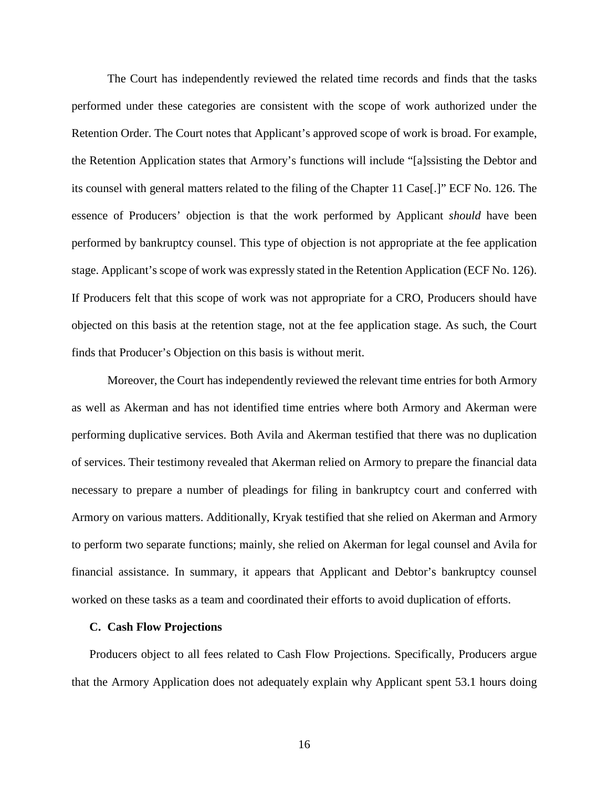The Court has independently reviewed the related time records and finds that the tasks performed under these categories are consistent with the scope of work authorized under the Retention Order. The Court notes that Applicant's approved scope of work is broad. For example, the Retention Application states that Armory's functions will include "[a]ssisting the Debtor and its counsel with general matters related to the filing of the Chapter 11 Case[.]" ECF No. 126. The essence of Producers' objection is that the work performed by Applicant *should* have been performed by bankruptcy counsel. This type of objection is not appropriate at the fee application stage. Applicant's scope of work was expressly stated in the Retention Application (ECF No. 126). If Producers felt that this scope of work was not appropriate for a CRO, Producers should have objected on this basis at the retention stage, not at the fee application stage. As such, the Court finds that Producer's Objection on this basis is without merit.

Moreover, the Court has independently reviewed the relevant time entries for both Armory as well as Akerman and has not identified time entries where both Armory and Akerman were performing duplicative services. Both Avila and Akerman testified that there was no duplication of services. Their testimony revealed that Akerman relied on Armory to prepare the financial data necessary to prepare a number of pleadings for filing in bankruptcy court and conferred with Armory on various matters. Additionally, Kryak testified that she relied on Akerman and Armory to perform two separate functions; mainly, she relied on Akerman for legal counsel and Avila for financial assistance. In summary, it appears that Applicant and Debtor's bankruptcy counsel worked on these tasks as a team and coordinated their efforts to avoid duplication of efforts.

#### **C. Cash Flow Projections**

Producers object to all fees related to Cash Flow Projections. Specifically, Producers argue that the Armory Application does not adequately explain why Applicant spent 53.1 hours doing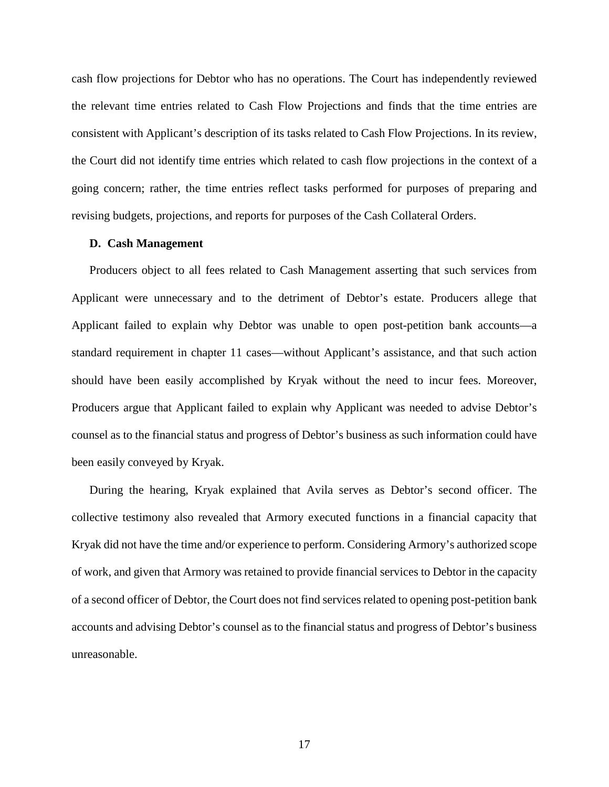cash flow projections for Debtor who has no operations. The Court has independently reviewed the relevant time entries related to Cash Flow Projections and finds that the time entries are consistent with Applicant's description of its tasks related to Cash Flow Projections. In its review, the Court did not identify time entries which related to cash flow projections in the context of a going concern; rather, the time entries reflect tasks performed for purposes of preparing and revising budgets, projections, and reports for purposes of the Cash Collateral Orders.

#### **D. Cash Management**

Producers object to all fees related to Cash Management asserting that such services from Applicant were unnecessary and to the detriment of Debtor's estate. Producers allege that Applicant failed to explain why Debtor was unable to open post-petition bank accounts—a standard requirement in chapter 11 cases—without Applicant's assistance, and that such action should have been easily accomplished by Kryak without the need to incur fees. Moreover, Producers argue that Applicant failed to explain why Applicant was needed to advise Debtor's counsel as to the financial status and progress of Debtor's business as such information could have been easily conveyed by Kryak.

During the hearing, Kryak explained that Avila serves as Debtor's second officer. The collective testimony also revealed that Armory executed functions in a financial capacity that Kryak did not have the time and/or experience to perform. Considering Armory's authorized scope of work, and given that Armory was retained to provide financial services to Debtor in the capacity of a second officer of Debtor, the Court does not find services related to opening post-petition bank accounts and advising Debtor's counsel as to the financial status and progress of Debtor's business unreasonable.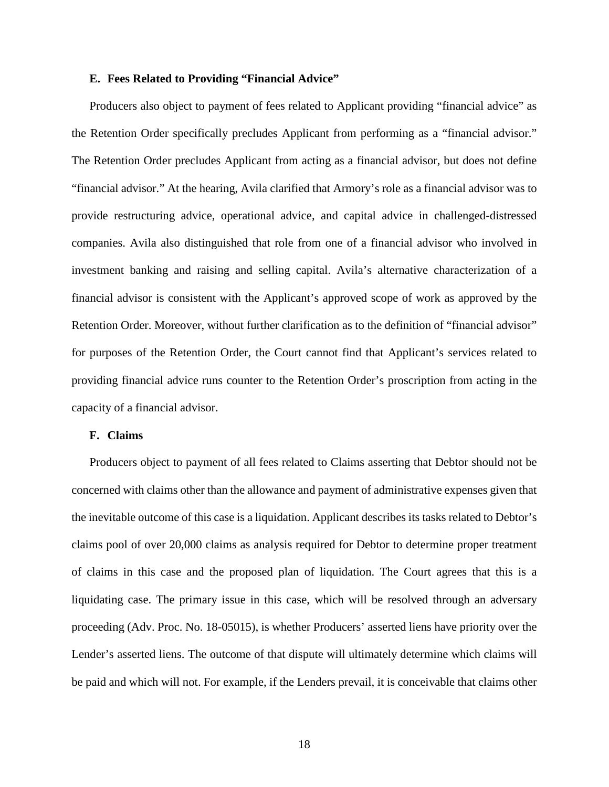### **E. Fees Related to Providing "Financial Advice"**

Producers also object to payment of fees related to Applicant providing "financial advice" as the Retention Order specifically precludes Applicant from performing as a "financial advisor." The Retention Order precludes Applicant from acting as a financial advisor, but does not define "financial advisor." At the hearing, Avila clarified that Armory's role as a financial advisor was to provide restructuring advice, operational advice, and capital advice in challenged-distressed companies. Avila also distinguished that role from one of a financial advisor who involved in investment banking and raising and selling capital. Avila's alternative characterization of a financial advisor is consistent with the Applicant's approved scope of work as approved by the Retention Order. Moreover, without further clarification as to the definition of "financial advisor" for purposes of the Retention Order, the Court cannot find that Applicant's services related to providing financial advice runs counter to the Retention Order's proscription from acting in the capacity of a financial advisor.

### **F. Claims**

Producers object to payment of all fees related to Claims asserting that Debtor should not be concerned with claims other than the allowance and payment of administrative expenses given that the inevitable outcome of this case is a liquidation. Applicant describes its tasks related to Debtor's claims pool of over 20,000 claims as analysis required for Debtor to determine proper treatment of claims in this case and the proposed plan of liquidation. The Court agrees that this is a liquidating case. The primary issue in this case, which will be resolved through an adversary proceeding (Adv. Proc. No. 18-05015), is whether Producers' asserted liens have priority over the Lender's asserted liens. The outcome of that dispute will ultimately determine which claims will be paid and which will not. For example, if the Lenders prevail, it is conceivable that claims other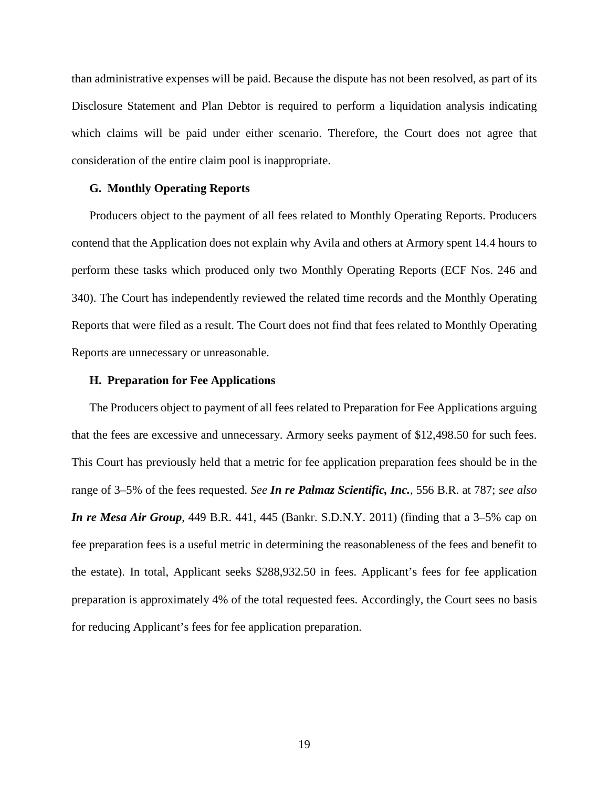than administrative expenses will be paid. Because the dispute has not been resolved, as part of its Disclosure Statement and Plan Debtor is required to perform a liquidation analysis indicating which claims will be paid under either scenario. Therefore, the Court does not agree that consideration of the entire claim pool is inappropriate.

## **G. Monthly Operating Reports**

Producers object to the payment of all fees related to Monthly Operating Reports. Producers contend that the Application does not explain why Avila and others at Armory spent 14.4 hours to perform these tasks which produced only two Monthly Operating Reports (ECF Nos. 246 and 340). The Court has independently reviewed the related time records and the Monthly Operating Reports that were filed as a result. The Court does not find that fees related to Monthly Operating Reports are unnecessary or unreasonable.

### **H. Preparation for Fee Applications**

The Producers object to payment of all fees related to Preparation for Fee Applications arguing that the fees are excessive and unnecessary. Armory seeks payment of \$12,498.50 for such fees. This Court has previously held that a metric for fee application preparation fees should be in the range of 3–5% of the fees requested. *See In re Palmaz Scientific, Inc.*, 556 B.R. at 787; *see also In re Mesa Air Group*, 449 B.R. 441, 445 (Bankr. S.D.N.Y. 2011) (finding that a 3–5% cap on fee preparation fees is a useful metric in determining the reasonableness of the fees and benefit to the estate). In total, Applicant seeks \$288,932.50 in fees. Applicant's fees for fee application preparation is approximately 4% of the total requested fees. Accordingly, the Court sees no basis for reducing Applicant's fees for fee application preparation.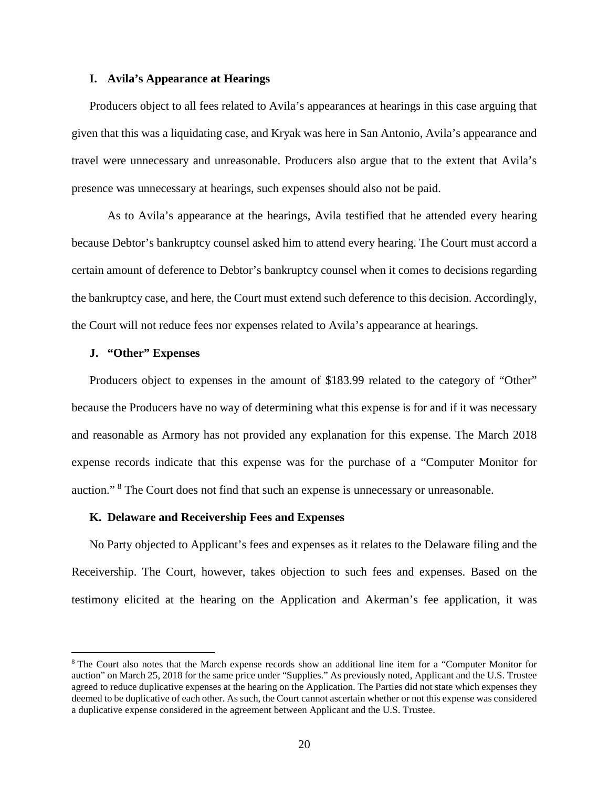## **I. Avila's Appearance at Hearings**

Producers object to all fees related to Avila's appearances at hearings in this case arguing that given that this was a liquidating case, and Kryak was here in San Antonio, Avila's appearance and travel were unnecessary and unreasonable. Producers also argue that to the extent that Avila's presence was unnecessary at hearings, such expenses should also not be paid.

As to Avila's appearance at the hearings, Avila testified that he attended every hearing because Debtor's bankruptcy counsel asked him to attend every hearing. The Court must accord a certain amount of deference to Debtor's bankruptcy counsel when it comes to decisions regarding the bankruptcy case, and here, the Court must extend such deference to this decision. Accordingly, the Court will not reduce fees nor expenses related to Avila's appearance at hearings.

## **J. "Other" Expenses**

Producers object to expenses in the amount of \$183.99 related to the category of "Other" because the Producers have no way of determining what this expense is for and if it was necessary and reasonable as Armory has not provided any explanation for this expense. The March 2018 expense records indicate that this expense was for the purchase of a "Computer Monitor for auction." [8](#page-19-0) The Court does not find that such an expense is unnecessary or unreasonable.

#### **K. Delaware and Receivership Fees and Expenses**

No Party objected to Applicant's fees and expenses as it relates to the Delaware filing and the Receivership. The Court, however, takes objection to such fees and expenses. Based on the testimony elicited at the hearing on the Application and Akerman's fee application, it was

<span id="page-19-0"></span> <sup>8</sup> The Court also notes that the March expense records show an additional line item for <sup>a</sup> "Computer Monitor for auction" on March 25, 2018 for the same price under "Supplies." As previously noted, Applicant and the U.S. Trustee agreed to reduce duplicative expenses at the hearing on the Application. The Parties did not state which expenses they deemed to be duplicative of each other. As such, the Court cannot ascertain whether or not this expense was considered a duplicative expense considered in the agreement between Applicant and the U.S. Trustee.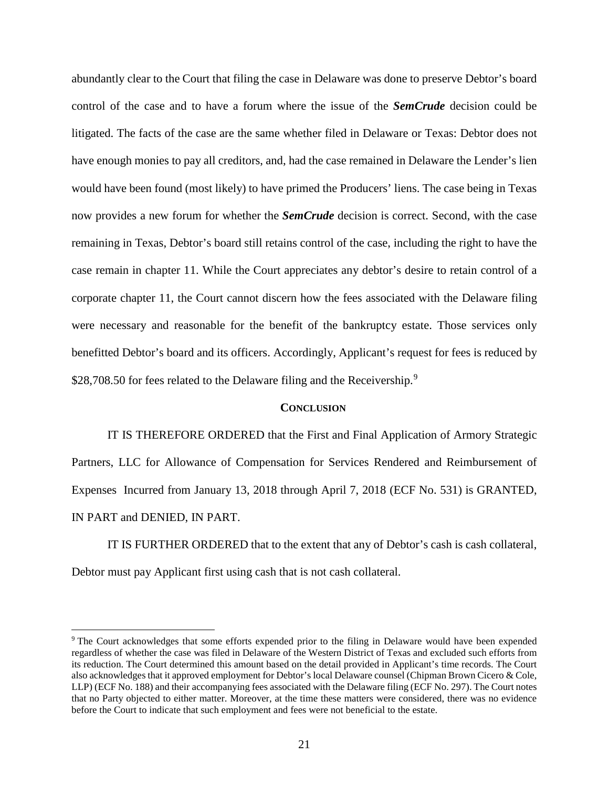abundantly clear to the Court that filing the case in Delaware was done to preserve Debtor's board control of the case and to have a forum where the issue of the *SemCrude* decision could be litigated. The facts of the case are the same whether filed in Delaware or Texas: Debtor does not have enough monies to pay all creditors, and, had the case remained in Delaware the Lender's lien would have been found (most likely) to have primed the Producers' liens. The case being in Texas now provides a new forum for whether the *SemCrude* decision is correct. Second, with the case remaining in Texas, Debtor's board still retains control of the case, including the right to have the case remain in chapter 11. While the Court appreciates any debtor's desire to retain control of a corporate chapter 11, the Court cannot discern how the fees associated with the Delaware filing were necessary and reasonable for the benefit of the bankruptcy estate. Those services only benefitted Debtor's board and its officers. Accordingly, Applicant's request for fees is reduced by \$28,708.50 for fees related to the Delaware filing and the Receivership.<sup>[9](#page-20-0)</sup>

## **CONCLUSION**

IT IS THEREFORE ORDERED that the First and Final Application of Armory Strategic Partners, LLC for Allowance of Compensation for Services Rendered and Reimbursement of Expenses Incurred from January 13, 2018 through April 7, 2018 (ECF No. 531) is GRANTED, IN PART and DENIED, IN PART.

IT IS FURTHER ORDERED that to the extent that any of Debtor's cash is cash collateral, Debtor must pay Applicant first using cash that is not cash collateral.

<span id="page-20-0"></span> <sup>9</sup> The Court acknowledges that some efforts expended prior to the filing in Delaware would have been expended regardless of whether the case was filed in Delaware of the Western District of Texas and excluded such efforts from its reduction. The Court determined this amount based on the detail provided in Applicant's time records. The Court also acknowledges that it approved employment for Debtor's local Delaware counsel (Chipman Brown Cicero & Cole, LLP) (ECF No. 188) and their accompanying fees associated with the Delaware filing (ECF No. 297). The Court notes that no Party objected to either matter. Moreover, at the time these matters were considered, there was no evidence before the Court to indicate that such employment and fees were not beneficial to the estate.